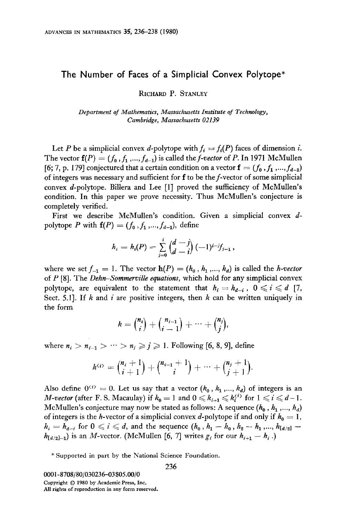## The Number of Faces of a Simplicial Convex Polytope\*

RICHARD P. STANLEY

Department of Mathematics, Massachusetts Institute of Technology, Cambridge, Massachusetts 02139

Let P be a simplicial convex d-polytope with  $f_i = f_i(P)$  faces of dimension i. The vector  $f(P) = (f_0, f_1, ..., f_{d-1})$  is called the *f-vector* of P. In 1971 McMullen [6; 7, p. 179] conjectured that a certain condition on a vector  $\mathbf{f} = (f_0, f_1, ..., f_{d-1})$ of integers was necessary and sufficient for f to be the f-vector of some simplicial convex d-polytope. Billera and Lee [l] proved the sufficiency of McMullen's condition. In this paper we prove necessity. Thus McMullen's conjecture is completely verified.

First we describe McMullen's condition. Given a simplicial convex dpolytope P with  $f(P) = (f_0, f_1, ..., f_{d-1})$ , define

$$
h_i = h_i(P) = \sum_{j=0}^i \binom{d-j}{d-i} (-1)^{i-j} f_{j-1},
$$

where we set  $f_{-1} = 1$ . The vector  $h(P) = (h_0, h_1, ..., h_d)$  is called the *h-vector* of  $P$  [8]. The *Dehn-Sommerville equations*, which hold for any simplicial convex polytope, are equivalent to the statement that  $h_i = h_{d-i}$ ,  $0 \leq i \leq d$  [7, Sect. 5.1]. If k and i are positive integers, then  $k$  can be written uniquely in the form

$$
k = {n_i \choose i} + {n_{i-1} \choose i-1} + \cdots + {n_j \choose j},
$$

where  $n_i > n_{i-1} > \cdots > n_j \geq j \geq 1$ . Following [6, 8, 9], define

$$
k^{(i)} = {n_i + 1 \choose i+1} + {n_{i-1} + 1 \choose i} + \cdots + {n_j + 1 \choose j+1}.
$$

Also define  $0^{(i)} = 0$ . Let us say that a vector  $(k_0, k_1, ..., k_d)$  of integers is an *M-vector* (after F. S. Macaulay) if  $k_0 = 1$  and  $0 \le k_{i+1} \le k_i^{(i)}$  for  $1 \le i \le d-1$ . McMullen's conjecture may now be stated as follows: A sequence  $(h_0, h_1, ..., h_d)$ of integers is the h-vector of a simplicial convex d-polytope if and only if  $h_0 = 1$ ,  $h_i = h_{d-i}$  for  $0 \leq i \leq d$ , and the sequence  $(h_0, h_1 - h_0, h_2 - h_1, ..., h_{\lfloor d/2 \rfloor} - d)$  $h_{[d/2]-1}$ ) is an M-vector. (McMullen [6, 7] writes  $g_i$  for our  $h_{i+1} - h_i$ .)

\* Supported in part by the National Science Foundation.

OOOl-8708/80/030236-03\$05.00/0 Copyright  $©$  1980 by Academic Press, Inc. AU rights of reproduction in any form reserved.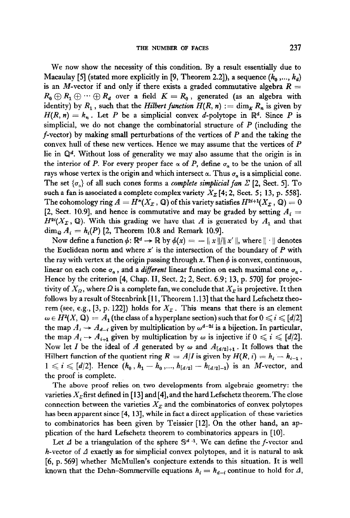We now show the necessity of this condition. By a result essentially due to Macaulay [5] (stated more explicitly in [9, Theorem 2.2]), a sequence  $(k_0, ..., k_d)$ is an M-vector if and only if there exists a graded commutative algebra  $R =$  $R_0 \oplus R_1 \oplus \cdots \oplus R_d$  over a field  $K = R_0$ , generated (as an algebra with identity) by  $R_1$ , such that the Hilbert function  $H(R, n) := \dim_K R_n$  is given by  $H(R, n) = k_n$ . Let P be a simplicial convex d-polytope in  $\mathbb{R}^d$ . Since P is simplicial, we do not change the combinatorial structure of  $P$  (including the f-vector) by making small perturbations of the vertices of  $P$  and the taking the convex hull of these new vertices. Hence we may assume that the vertices of P lie in  $\mathbb{Q}^d$ . Without loss of generality we may also assume that the origin is in the interior of P. For every proper face  $\alpha$  of P, define  $\sigma_{\alpha}$  to be the union of all rays whose vertex is the origin and which intersect  $\alpha$ . Thus  $\sigma_{\alpha}$  is a simplicial cone. The set  $\{\sigma_{\alpha}\}\$  of all such cones forms a *complete simplicial fan*  $\Sigma$  [2, Sect. 5]. To such a fan is associated a complete complex variety  $X_{\Sigma}$  [4; 2, Sect. 5; 13, p. 558]. The cohomology ring  $A=H^*(X_{\mathcal Z}$  ,  ${\mathbb Q})$  of this variety satisfies  $H^{2i+1}(X_{\mathcal Z}$  ,  ${\mathbb Q})=0$ [2, Sect. 10.9], and hence is commutative and may be graded by setting  $A_i =$  $H^{2i}(X_{\Sigma}, \mathbb{Q})$ . With this grading we have that A is generated by  $A_1$  and that  $\dim_{\mathbf{Q}} A_i = h_i(P)$  [2, Theorem 10.8 and Remark 10.9].

Now define a function  $\phi \colon \mathbb{R}^d \to \mathbb{R}$  by  $\phi(x) = -||x||/||x'||$ , where  $|| \cdot ||$  denotes the Euclidean norm and where  $x'$  is the intersection of the boundary of  $P$  with the ray with vertex at the origin passing through x. Then  $\phi$  is convex, continuous, linear on each cone  $\sigma_{\alpha}$ , and a *different* linear function on each maximal cone  $\sigma_{\alpha}$ . Hence by the criterion [4, Chap. II, Sect. 2; 2, Sect. 6.9; 13, p. 570] for projectivity of  $X_{\Omega}$ , where  $\Omega$  is a complete fan, we conclude that  $X_{\Sigma}$  is projective. It then follows by a result of Steenbrink [l 1, Theorem 1 .13] that the hard Lefschetz theorem (see, e.g., [3, p. 122]) holds for  $X_{\mathcal{F}}$ . This means that there is an element  $\omega \in H^2(X, \mathbb{Q}) = A_1$  (the class of a hyperplane section) such that for  $0 \leq i \leq d/2$ the map  $A_i \rightarrow A_{d-i}$  given by multiplication by  $\omega^{d-2i}$  is a bijection. In particular, the map  $A_i \rightarrow A_{i+1}$  given by multiplication by  $\omega$  is injective if  $0 \leq i \leq d/2$ . Now let I be the ideal of A generated by  $\omega$  and  $A_{[d/2]+1}$ . It follows that the Hilbert function of the quotient ring  $R = A/I$  is given by  $H(R, i) = h_i - h_{i-1}$ ,  $1 \leq i \leq [d/2]$ . Hence  $(h_0, h_1 - h_0, ..., h_{[d/2]} - h_{[d/2]-1})$  is an *M*-vector, and the proof is complete.

The above proof relies on two developments from algebraic geometry: the varieties  $X_{\Sigma}$  first defined in [13] and [4], and the hard Lefschetz theorem. The close connection between the varieties  $X<sub>z</sub>$  and the combinatorics of convex polytopes has been apparent since  $[4, 13]$ , while in fact a direct application of these varieties to combinatorics has been given by Teissier [12]. On the other hand, an application of the hard Lefschetz theorem to combinatorics appears in [10].

Let  $\Delta$  be a triangulation of the sphere  $\mathbb{S}^{d-1}$ . We can define the f-vector and h-vector of  $\Delta$  exactly as for simplicial convex polytopes, and it is natural to ask [6, p. 5691 whether McMullen's conjecture extends to this situation. It is well known that the Dehn-Sommerville equations  $h_i = h_{d-i}$  continue to hold for  $\Delta$ ,